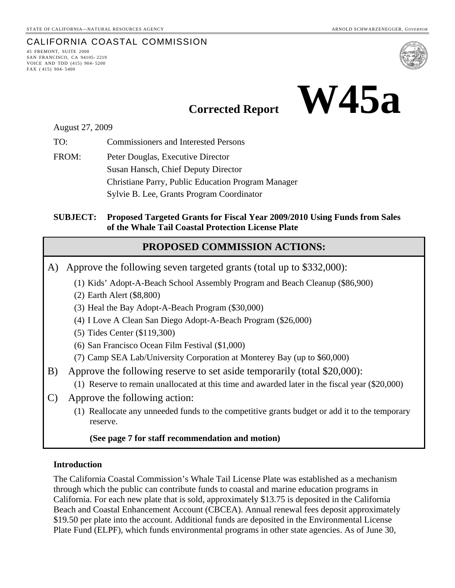## CALIFORNIA COASTAL COMMISSION

45 FREMONT, SUITE 2000 SAN FRANCISCO, CA 94105- 2219 VOICE AND TDD (415) 904- 5200 FAX ( 415) 904- 5400



# **Corrected Report W45a**

August 27, 2009

TO: Commissioners and Interested Persons

FROM: Peter Douglas, Executive Director Susan Hansch, Chief Deputy Director Christiane Parry, Public Education Program Manager Sylvie B. Lee, Grants Program Coordinator

**SUBJECT: Proposed Targeted Grants for Fiscal Year 2009/2010 Using Funds from Sales of the Whale Tail Coastal Protection License Plate** 

## **PROPOSED COMMISSION ACTIONS:**

A) Approve the following seven targeted grants (total up to \$332,000):

(1) Kids' Adopt-A-Beach School Assembly Program and Beach Cleanup (\$86,900)

(2) Earth Alert (\$8,800)

(3) Heal the Bay Adopt-A-Beach Program (\$30,000)

(4) I Love A Clean San Diego Adopt-A-Beach Program (\$26,000)

(5) Tides Center (\$119,300)

(6) San Francisco Ocean Film Festival (\$1,000)

(7) Camp SEA Lab/University Corporation at Monterey Bay (up to \$60,000)

B) Approve the following reserve to set aside temporarily (total \$20,000):

(1) Reserve to remain unallocated at this time and awarded later in the fiscal year (\$20,000)

C) Approve the following action:

 (1) Reallocate any unneeded funds to the competitive grants budget or add it to the temporary reserve.

#### **(See page 7 for staff recommendation and motion)**

#### **Introduction**

The California Coastal Commission's Whale Tail License Plate was established as a mechanism through which the public can contribute funds to coastal and marine education programs in California. For each new plate that is sold, approximately \$13.75 is deposited in the California Beach and Coastal Enhancement Account (CBCEA). Annual renewal fees deposit approximately \$19.50 per plate into the account. Additional funds are deposited in the Environmental License Plate Fund (ELPF), which funds environmental programs in other state agencies. As of June 30,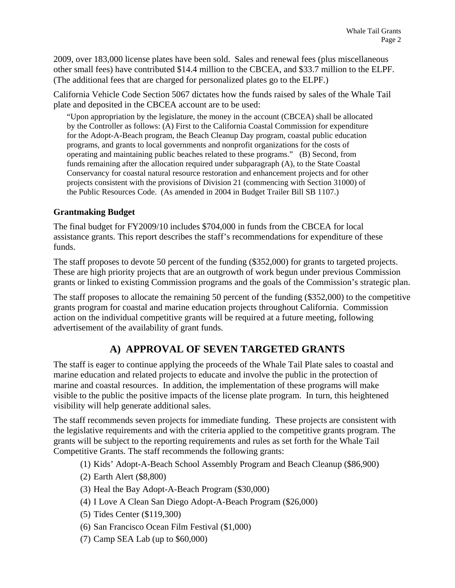2009, over 183,000 license plates have been sold. Sales and renewal fees (plus miscellaneous other small fees) have contributed \$14.4 million to the CBCEA, and \$33.7 million to the ELPF. (The additional fees that are charged for personalized plates go to the ELPF.)

California Vehicle Code Section 5067 dictates how the funds raised by sales of the Whale Tail plate and deposited in the CBCEA account are to be used:

"Upon appropriation by the legislature, the money in the account (CBCEA) shall be allocated by the Controller as follows: (A) First to the California Coastal Commission for expenditure for the Adopt-A-Beach program, the Beach Cleanup Day program, coastal public education programs, and grants to local governments and nonprofit organizations for the costs of operating and maintaining public beaches related to these programs." (B) Second, from funds remaining after the allocation required under subparagraph (A), to the State Coastal Conservancy for coastal natural resource restoration and enhancement projects and for other projects consistent with the provisions of Division 21 (commencing with Section 31000) of the Public Resources Code. (As amended in 2004 in Budget Trailer Bill SB 1107.)

#### **Grantmaking Budget**

The final budget for FY2009/10 includes \$704,000 in funds from the CBCEA for local assistance grants. This report describes the staff's recommendations for expenditure of these funds.

The staff proposes to devote 50 percent of the funding (\$352,000) for grants to targeted projects. These are high priority projects that are an outgrowth of work begun under previous Commission grants or linked to existing Commission programs and the goals of the Commission's strategic plan.

The staff proposes to allocate the remaining 50 percent of the funding (\$352,000) to the competitive grants program for coastal and marine education projects throughout California. Commission action on the individual competitive grants will be required at a future meeting, following advertisement of the availability of grant funds.

# **A) APPROVAL OF SEVEN TARGETED GRANTS**

The staff is eager to continue applying the proceeds of the Whale Tail Plate sales to coastal and marine education and related projects to educate and involve the public in the protection of marine and coastal resources. In addition, the implementation of these programs will make visible to the public the positive impacts of the license plate program. In turn, this heightened visibility will help generate additional sales.

The staff recommends seven projects for immediate funding. These projects are consistent with the legislative requirements and with the criteria applied to the competitive grants program. The grants will be subject to the reporting requirements and rules as set forth for the Whale Tail Competitive Grants. The staff recommends the following grants:

- (1) Kids' Adopt-A-Beach School Assembly Program and Beach Cleanup (\$86,900)
- (2) Earth Alert (\$8,800)
- (3) Heal the Bay Adopt-A-Beach Program (\$30,000)
- (4) I Love A Clean San Diego Adopt-A-Beach Program (\$26,000)
- (5) Tides Center (\$119,300)
- (6) San Francisco Ocean Film Festival (\$1,000)
- (7) Camp SEA Lab (up to \$60,000)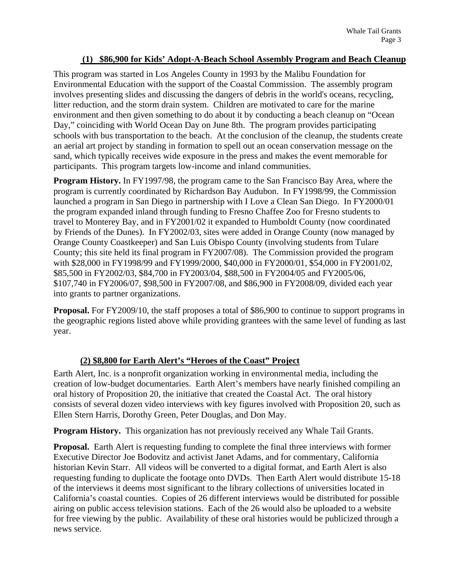#### **(1) \$86,900 for Kids' Adopt-A-Beach School Assembly Program and Beach Cleanup**

This program was started in Los Angeles County in 1993 by the Malibu Foundation for Environmental Education with the support of the Coastal Commission. The assembly program involves presenting slides and discussing the dangers of debris in the world's oceans, recycling, litter reduction, and the storm drain system. Children are motivated to care for the marine environment and then given something to do about it by conducting a beach cleanup on "Ocean Day," coinciding with World Ocean Day on June 8th. The program provides participating schools with bus transportation to the beach. At the conclusion of the cleanup, the students create an aerial art project by standing in formation to spell out an ocean conservation message on the sand, which typically receives wide exposure in the press and makes the event memorable for participants. This program targets low-income and inland communities.

**Program History.** In FY1997/98, the program came to the San Francisco Bay Area, where the program is currently coordinated by Richardson Bay Audubon. In FY1998/99, the Commission launched a program in San Diego in partnership with I Love a Clean San Diego. In FY2000/01 the program expanded inland through funding to Fresno Chaffee Zoo for Fresno students to travel to Monterey Bay, and in FY2001/02 it expanded to Humboldt County (now coordinated by Friends of the Dunes). In FY2002/03, sites were added in Orange County (now managed by Orange County Coastkeeper) and San Luis Obispo County (involving students from Tulare County; this site held its final program in FY2007/08). The Commission provided the program with \$28,000 in FY1998/99 and FY1999/2000, \$40,000 in FY2000/01, \$54,000 in FY2001/02, \$85,500 in FY2002/03, \$84,700 in FY2003/04, \$88,500 in FY2004/05 and FY2005/06, \$107,740 in FY2006/07, \$98,500 in FY2007/08, and \$86,900 in FY2008/09, divided each year into grants to partner organizations.

**Proposal.** For FY2009/10, the staff proposes a total of \$86,900 to continue to support programs in the geographic regions listed above while providing grantees with the same level of funding as last year.

#### **(2) \$8,800 for Earth Alert's "Heroes of the Coast" Project**

Earth Alert, Inc. is a nonprofit organization working in environmental media, including the creation of low-budget documentaries. Earth Alert's members have nearly finished compiling an oral history of Proposition 20, the initiative that created the Coastal Act. The oral history consists of several dozen video interviews with key figures involved with Proposition 20, such as Ellen Stern Harris, Dorothy Green, Peter Douglas, and Don May.

**Program History.** This organization has not previously received any Whale Tail Grants.

**Proposal.** Earth Alert is requesting funding to complete the final three interviews with former Executive Director Joe Bodovitz and activist Janet Adams, and for commentary, California historian Kevin Starr. All videos will be converted to a digital format, and Earth Alert is also requesting funding to duplicate the footage onto DVDs. Then Earth Alert would distribute 15-18 of the interviews it deems most significant to the library collections of universities located in California's coastal counties. Copies of 26 different interviews would be distributed for possible airing on public access television stations. Each of the 26 would also be uploaded to a website for free viewing by the public. Availability of these oral histories would be publicized through a news service.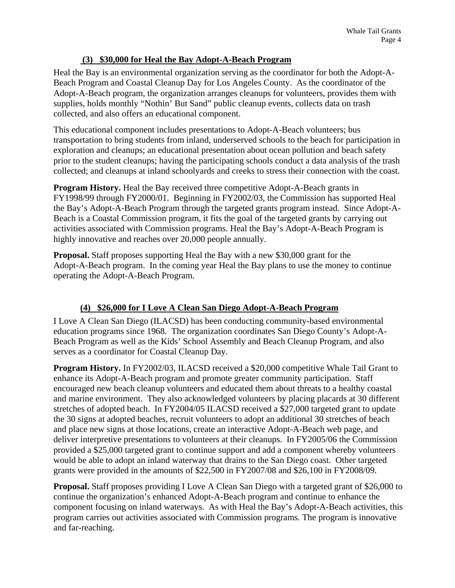#### **(3) \$30,000 for Heal the Bay Adopt-A-Beach Program**

Heal the Bay is an environmental organization serving as the coordinator for both the Adopt-A-Beach Program and Coastal Cleanup Day for Los Angeles County. As the coordinator of the Adopt-A-Beach program, the organization arranges cleanups for volunteers, provides them with supplies, holds monthly "Nothin' But Sand" public cleanup events, collects data on trash collected, and also offers an educational component.

This educational component includes presentations to Adopt-A-Beach volunteers; bus transportation to bring students from inland, underserved schools to the beach for participation in exploration and cleanups; an educational presentation about ocean pollution and beach safety prior to the student cleanups; having the participating schools conduct a data analysis of the trash collected; and cleanups at inland schoolyards and creeks to stress their connection with the coast.

**Program History.** Heal the Bay received three competitive Adopt-A-Beach grants in FY1998/99 through FY2000/01. Beginning in FY2002/03, the Commission has supported Heal the Bay's Adopt-A-Beach Program through the targeted grants program instead. Since Adopt-A-Beach is a Coastal Commission program, it fits the goal of the targeted grants by carrying out activities associated with Commission programs. Heal the Bay's Adopt-A-Beach Program is highly innovative and reaches over 20,000 people annually.

**Proposal.** Staff proposes supporting Heal the Bay with a new \$30,000 grant for the Adopt-A-Beach program. In the coming year Heal the Bay plans to use the money to continue operating the Adopt-A-Beach Program.

### **(4) \$26,000 for I Love A Clean San Diego Adopt-A-Beach Program**

I Love A Clean San Diego (ILACSD) has been conducting community-based environmental education programs since 1968. The organization coordinates San Diego County's Adopt-A-Beach Program as well as the Kids' School Assembly and Beach Cleanup Program, and also serves as a coordinator for Coastal Cleanup Day.

**Program History.** In FY2002/03, ILACSD received a \$20,000 competitive Whale Tail Grant to enhance its Adopt-A-Beach program and promote greater community participation. Staff encouraged new beach cleanup volunteers and educated them about threats to a healthy coastal and marine environment. They also acknowledged volunteers by placing placards at 30 different stretches of adopted beach. In FY2004/05 ILACSD received a \$27,000 targeted grant to update the 30 signs at adopted beaches, recruit volunteers to adopt an additional 30 stretches of beach and place new signs at those locations, create an interactive Adopt-A-Beach web page, and deliver interpretive presentations to volunteers at their cleanups. In FY2005/06 the Commission provided a \$25,000 targeted grant to continue support and add a component whereby volunteers would be able to adopt an inland waterway that drains to the San Diego coast. Other targeted grants were provided in the amounts of \$22,500 in FY2007/08 and \$26,100 in FY2008/09.

**Proposal.** Staff proposes providing I Love A Clean San Diego with a targeted grant of \$26,000 to continue the organization's enhanced Adopt-A-Beach program and continue to enhance the component focusing on inland waterways. As with Heal the Bay's Adopt-A-Beach activities, this program carries out activities associated with Commission programs. The program is innovative and far-reaching.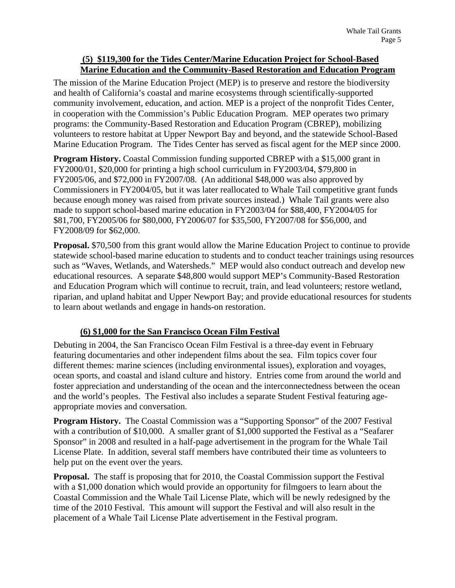#### **(5) \$119,300 for the Tides Center/Marine Education Project for School-Based Marine Education and the Community-Based Restoration and Education Program**

The mission of the Marine Education Project (MEP) is to preserve and restore the biodiversity and health of California's coastal and marine ecosystems through scientifically-supported community involvement, education, and action. MEP is a project of the nonprofit Tides Center, in cooperation with the Commission's Public Education Program. MEP operates two primary programs: the Community-Based Restoration and Education Program (CBREP), mobilizing volunteers to restore habitat at Upper Newport Bay and beyond, and the statewide School-Based Marine Education Program. The Tides Center has served as fiscal agent for the MEP since 2000.

**Program History.** Coastal Commission funding supported CBREP with a \$15,000 grant in FY2000/01, \$20,000 for printing a high school curriculum in FY2003/04, \$79,800 in FY2005/06, and \$72,000 in FY2007/08. (An additional \$48,000 was also approved by Commissioners in FY2004/05, but it was later reallocated to Whale Tail competitive grant funds because enough money was raised from private sources instead.) Whale Tail grants were also made to support school-based marine education in FY2003/04 for \$88,400, FY2004/05 for \$81,700, FY2005/06 for \$80,000, FY2006/07 for \$35,500, FY2007/08 for \$56,000, and FY2008/09 for \$62,000.

**Proposal.** \$70,500 from this grant would allow the Marine Education Project to continue to provide statewide school-based marine education to students and to conduct teacher trainings using resources such as "Waves, Wetlands, and Watersheds." MEP would also conduct outreach and develop new educational resources. A separate \$48,800 would support MEP's Community-Based Restoration and Education Program which will continue to recruit, train, and lead volunteers; restore wetland, riparian, and upland habitat and Upper Newport Bay; and provide educational resources for students to learn about wetlands and engage in hands-on restoration.

#### **(6) \$1,000 for the San Francisco Ocean Film Festival**

Debuting in 2004, the San Francisco Ocean Film Festival is a three-day event in February featuring documentaries and other independent films about the sea. Film topics cover four different themes: marine sciences (including environmental issues), exploration and voyages, ocean sports, and coastal and island culture and history. Entries come from around the world and foster appreciation and understanding of the ocean and the interconnectedness between the ocean and the world's peoples. The Festival also includes a separate Student Festival featuring ageappropriate movies and conversation.

**Program History.** The Coastal Commission was a "Supporting Sponsor" of the 2007 Festival with a contribution of \$10,000. A smaller grant of \$1,000 supported the Festival as a "Seafarer" Sponsor" in 2008 and resulted in a half-page advertisement in the program for the Whale Tail License Plate. In addition, several staff members have contributed their time as volunteers to help put on the event over the years.

**Proposal.** The staff is proposing that for 2010, the Coastal Commission support the Festival with a \$1,000 donation which would provide an opportunity for filmgoers to learn about the Coastal Commission and the Whale Tail License Plate, which will be newly redesigned by the time of the 2010 Festival. This amount will support the Festival and will also result in the placement of a Whale Tail License Plate advertisement in the Festival program.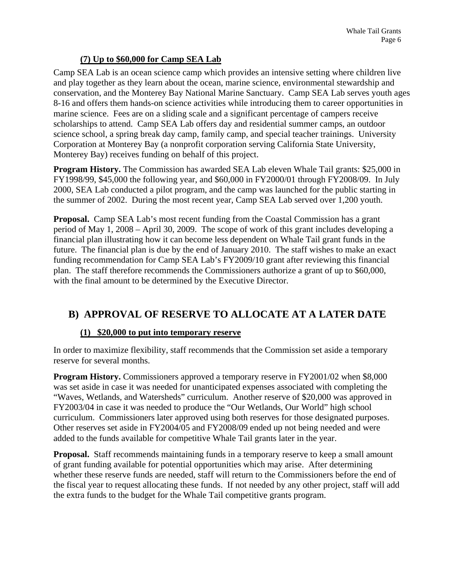#### **(7) Up to \$60,000 for Camp SEA Lab**

Camp SEA Lab is an ocean science camp which provides an intensive setting where children live and play together as they learn about the ocean, marine science, environmental stewardship and conservation, and the Monterey Bay National Marine Sanctuary. Camp SEA Lab serves youth ages 8-16 and offers them hands-on science activities while introducing them to career opportunities in marine science. Fees are on a sliding scale and a significant percentage of campers receive scholarships to attend. Camp SEA Lab offers day and residential summer camps, an outdoor science school, a spring break day camp, family camp, and special teacher trainings. University Corporation at Monterey Bay (a nonprofit corporation serving California State University, Monterey Bay) receives funding on behalf of this project.

**Program History.** The Commission has awarded SEA Lab eleven Whale Tail grants: \$25,000 in FY1998/99, \$45,000 the following year, and \$60,000 in FY2000/01 through FY2008/09. In July 2000, SEA Lab conducted a pilot program, and the camp was launched for the public starting in the summer of 2002. During the most recent year, Camp SEA Lab served over 1,200 youth.

**Proposal.** Camp SEA Lab's most recent funding from the Coastal Commission has a grant period of May 1, 2008 – April 30, 2009. The scope of work of this grant includes developing a financial plan illustrating how it can become less dependent on Whale Tail grant funds in the future. The financial plan is due by the end of January 2010. The staff wishes to make an exact funding recommendation for Camp SEA Lab's FY2009/10 grant after reviewing this financial plan. The staff therefore recommends the Commissioners authorize a grant of up to \$60,000, with the final amount to be determined by the Executive Director.

# **B) APPROVAL OF RESERVE TO ALLOCATE AT A LATER DATE**

#### **(1) \$20,000 to put into temporary reserve**

In order to maximize flexibility, staff recommends that the Commission set aside a temporary reserve for several months.

**Program History.** Commissioners approved a temporary reserve in FY2001/02 when \$8,000 was set aside in case it was needed for unanticipated expenses associated with completing the "Waves, Wetlands, and Watersheds" curriculum. Another reserve of \$20,000 was approved in FY2003/04 in case it was needed to produce the "Our Wetlands, Our World" high school curriculum. Commissioners later approved using both reserves for those designated purposes. Other reserves set aside in FY2004/05 and FY2008/09 ended up not being needed and were added to the funds available for competitive Whale Tail grants later in the year.

**Proposal.** Staff recommends maintaining funds in a temporary reserve to keep a small amount of grant funding available for potential opportunities which may arise. After determining whether these reserve funds are needed, staff will return to the Commissioners before the end of the fiscal year to request allocating these funds. If not needed by any other project, staff will add the extra funds to the budget for the Whale Tail competitive grants program.